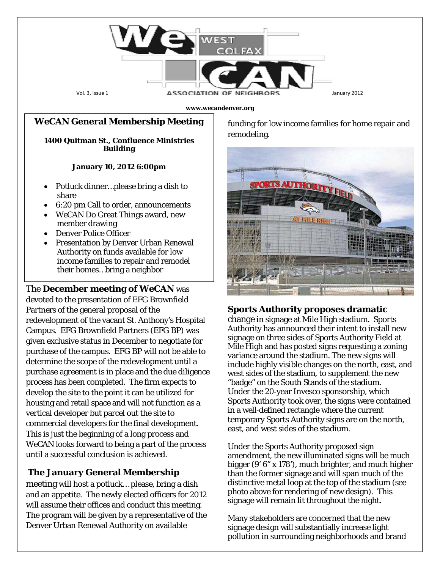

# *WeCAN* **General Membership Meeting**

**1400 Quitman St., Confluence Ministries Building**

#### **January 10, 2012 6:00pm**

- Potluck dinner...please bring a dish to share
- 6:20 pm Call to order, announcements
- *WeCAN* Do Great Things award, new member drawing
- Denver Police Officer
- Presentation by Denver Urban Renewal Authority on funds available for low income families to repair and remodel their homes…bring a neighbor

## The **December meeting of** *WeCAN* was

devoted to the presentation of EFG Brownfield Partners of the general proposal of the redevelopment of the vacant St. Anthony's Hospital Campus. EFG Brownfield Partners (EFG BP) was given exclusive status in December to negotiate for purchase of the campus. EFG BP will not be able to determine the scope of the redevelopment until a purchase agreement is in place and the due diligence process has been completed. The firm expects to develop the site to the point it can be utilized for housing and retail space and will not function as a vertical developer but parcel out the site to commercial developers for the final development. This is just the beginning of a long process and *WeCAN* looks forward to being a part of the process until a successful conclusion is achieved.

### **The January General Membership**

meeting will host a potluck… please, bring a dish and an appetite. The newly elected officers for 2012 will assume their offices and conduct this meeting. The program will be given by a representative of the Denver Urban Renewal Authority on available

funding for low income families for home repair and remodeling.



#### **Sports Authority proposes dramatic**

change in signage at Mile High stadium. Sports Authority has announced their intent to install new signage on three sides of Sports Authority Field at Mile High and has posted signs requesting a zoning variance around the stadium. The new signs will include highly visible changes on the north, east, and west sides of the stadium, to supplement the new "badge" on the South Stands of the stadium. Under the 20‐year Invesco sponsorship, which Sports Authority took over, the signs were contained in a well‐defined rectangle where the current temporary Sports Authority signs are on the north, east, and west sides of the stadium.

Under the Sports Authority proposed sign amendment, the new illuminated signs will be much bigger (9' 6" x 178'), much brighter, and much higher than the former signage and will span much of the distinctive metal loop at the top of the stadium (see photo above for rendering of new design). This signage will remain lit throughout the night.

Many stakeholders are concerned that the new signage design will substantially increase light pollution in surrounding neighborhoods and brand